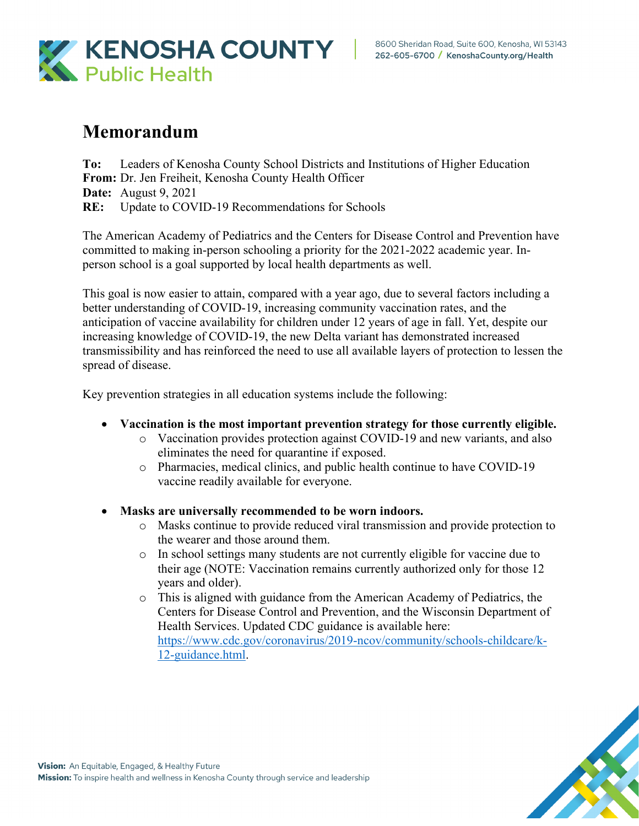

## **Memorandum**

**To:** Leaders of Kenosha County School Districts and Institutions of Higher Education **From:** Dr. Jen Freiheit, Kenosha County Health Officer **Date:** August 9, 2021 **RE:** Update to COVID-19 Recommendations for Schools

The American Academy of Pediatrics and the Centers for Disease Control and Prevention have committed to making in-person schooling a priority for the 2021-2022 academic year. Inperson school is a goal supported by local health departments as well.

This goal is now easier to attain, compared with a year ago, due to several factors including a better understanding of COVID-19, increasing community vaccination rates, and the anticipation of vaccine availability for children under 12 years of age in fall. Yet, despite our increasing knowledge of COVID-19, the new Delta variant has demonstrated increased transmissibility and has reinforced the need to use all available layers of protection to lessen the spread of disease.

Key prevention strategies in all education systems include the following:

- **Vaccination is the most important prevention strategy for those currently eligible.**
	- o Vaccination provides protection against COVID-19 and new variants, and also eliminates the need for quarantine if exposed.
	- o Pharmacies, medical clinics, and public health continue to have COVID-19 vaccine readily available for everyone.
- **Masks are universally recommended to be worn indoors.**
	- o Masks continue to provide reduced viral transmission and provide protection to the wearer and those around them.
	- o In school settings many students are not currently eligible for vaccine due to their age (NOTE: Vaccination remains currently authorized only for those 12 years and older).
	- o This is aligned with guidance from the American Academy of Pediatrics, the Centers for Disease Control and Prevention, and the Wisconsin Department of Health Services. Updated CDC guidance is available here: https://www.cdc.gov/coronavirus/2019-ncov/community/schools-childcare/k-12-guidance.html.

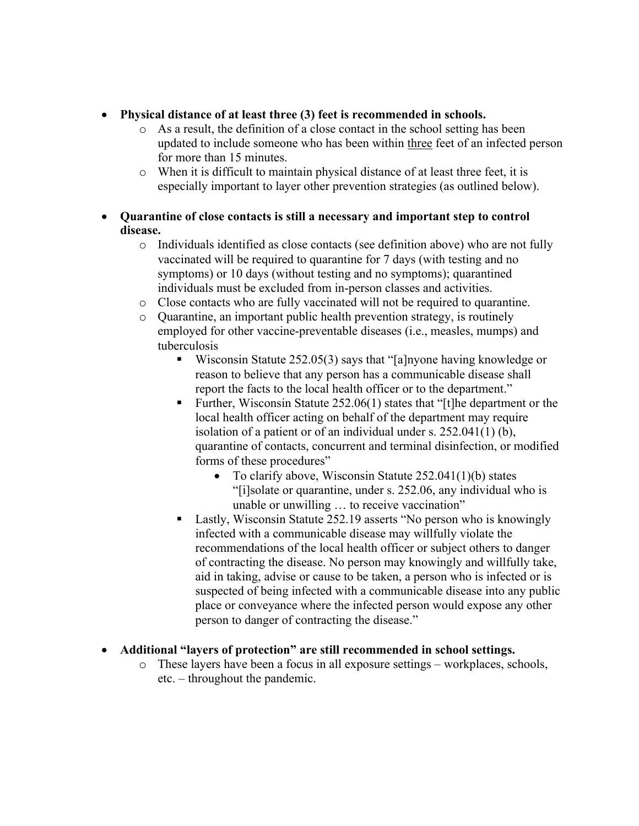## • **Physical distance of at least three (3) feet is recommended in schools.**

- o As a result, the definition of a close contact in the school setting has been updated to include someone who has been within three feet of an infected person for more than 15 minutes.
- o When it is difficult to maintain physical distance of at least three feet, it is especially important to layer other prevention strategies (as outlined below).
- **Quarantine of close contacts is still a necessary and important step to control disease.**
	- o Individuals identified as close contacts (see definition above) who are not fully vaccinated will be required to quarantine for 7 days (with testing and no symptoms) or 10 days (without testing and no symptoms); quarantined individuals must be excluded from in-person classes and activities.
	- o Close contacts who are fully vaccinated will not be required to quarantine.
	- o Quarantine, an important public health prevention strategy, is routinely employed for other vaccine-preventable diseases (i.e., measles, mumps) and tuberculosis
		- Wisconsin Statute 252.05(3) says that "[a]nyone having knowledge or reason to believe that any person has a communicable disease shall report the facts to the local health officer or to the department."
		- Further, Wisconsin Statute 252.06(1) states that "[t]he department or the local health officer acting on behalf of the department may require isolation of a patient or of an individual under s. 252.041(1) (b), quarantine of contacts, concurrent and terminal disinfection, or modified forms of these procedures"
			- To clarify above, Wisconsin Statute 252.041(1)(b) states "[i]solate or quarantine, under s. 252.06, any individual who is unable or unwilling … to receive vaccination"
		- Lastly, Wisconsin Statute 252.19 asserts "No person who is knowingly infected with a communicable disease may willfully violate the recommendations of the local health officer or subject others to danger of contracting the disease. No person may knowingly and willfully take, aid in taking, advise or cause to be taken, a person who is infected or is suspected of being infected with a communicable disease into any public place or conveyance where the infected person would expose any other person to danger of contracting the disease."

## • **Additional "layers of protection" are still recommended in school settings.**

o These layers have been a focus in all exposure settings – workplaces, schools, etc. – throughout the pandemic.